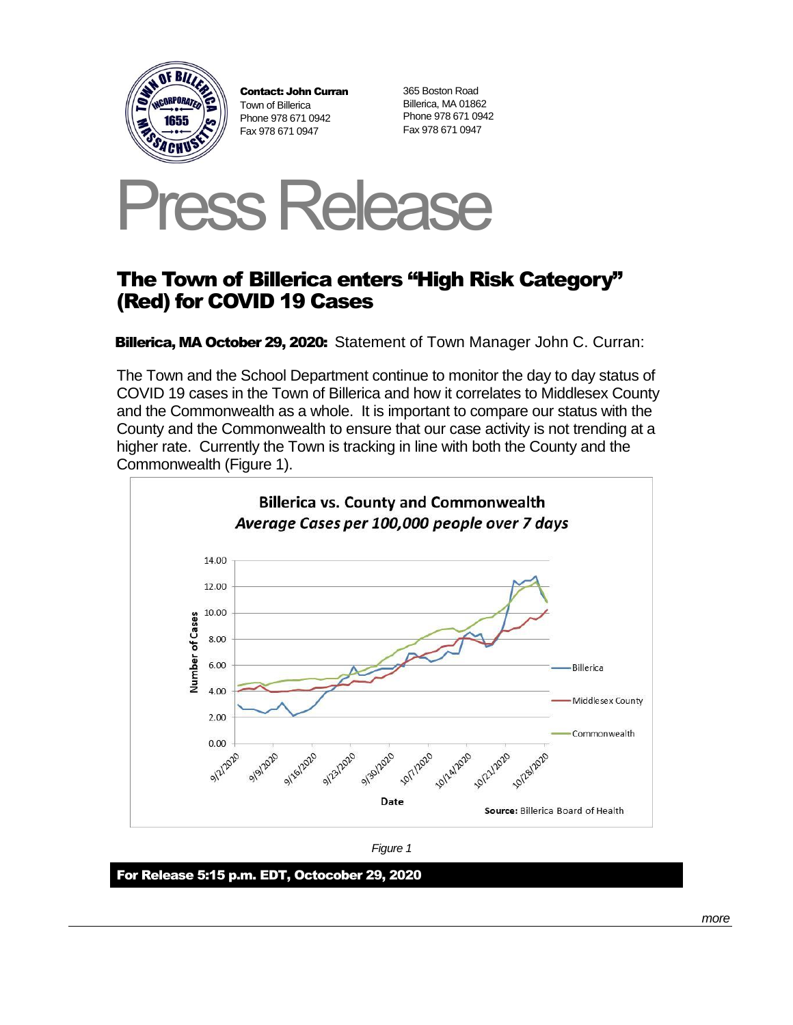

Contact: John Curran Town of Billerica Phone 978 671 0942 Fax 978 671 0947

365 Boston Road Billerica, MA 01862 Phone 978 671 0942 Fax 978 671 0947



## The Town of Billerica enters "High Risk Category" (Red) for COVID 19 Cases

Billerica, MA October 29, 2020: Statement of Town Manager John C. Curran:

The Town and the School Department continue to monitor the day to day status of COVID 19 cases in the Town of Billerica and how it correlates to Middlesex County and the Commonwealth as a whole. It is important to compare our status with the County and the Commonwealth to ensure that our case activity is not trending at a higher rate. Currently the Town is tracking in line with both the County and the Commonwealth (Figure 1).





For Release 5:15 p.m. EDT, Octocober 29, 2020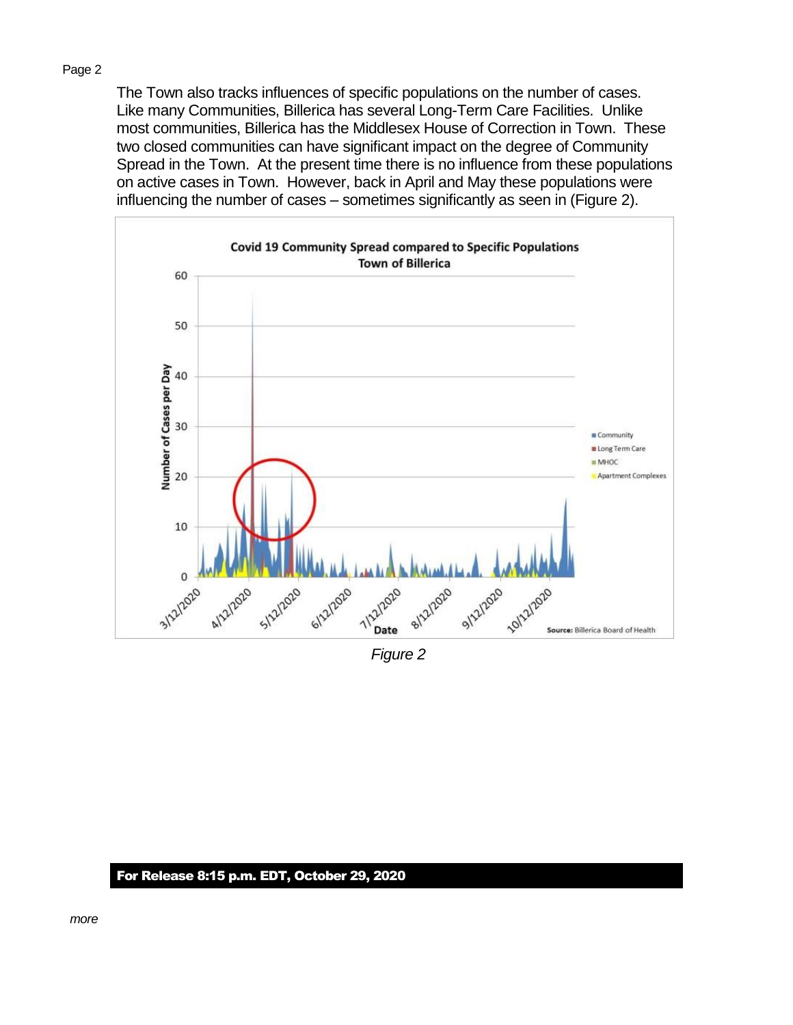## Page 2

The Town also tracks influences of specific populations on the number of cases. Like many Communities, Billerica has several Long-Term Care Facilities. Unlike most communities, Billerica has the Middlesex House of Correction in Town. These two closed communities can have significant impact on the degree of Community Spread in the Town. At the present time there is no influence from these populations on active cases in Town. However, back in April and May these populations were influencing the number of cases – sometimes significantly as seen in (Figure 2).



*Figure 2*

## For Release 8:15 p.m. EDT, October 29, 2020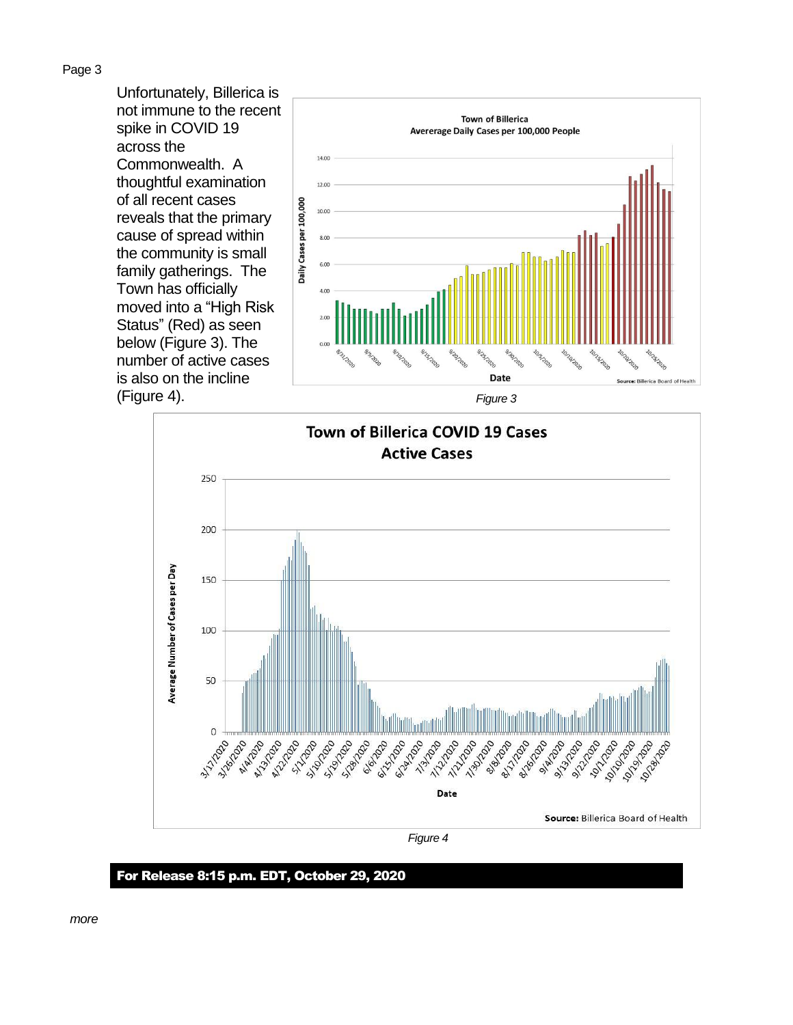Page 3

Unfortunately, Billerica is not immune to the recent spike in COVID 19 across the Commonwealth. A thoughtful examination of all recent cases reveals that the primary cause of spread within the community is small family gatherings. The Town has officially moved into a "High Risk Status" (Red) as seen below (Figure 3). The number of active cases is also on the incline (Figure 4). *Figure 3*







*Figure 4*

For Release 8:15 p.m. EDT, October 29, 2020